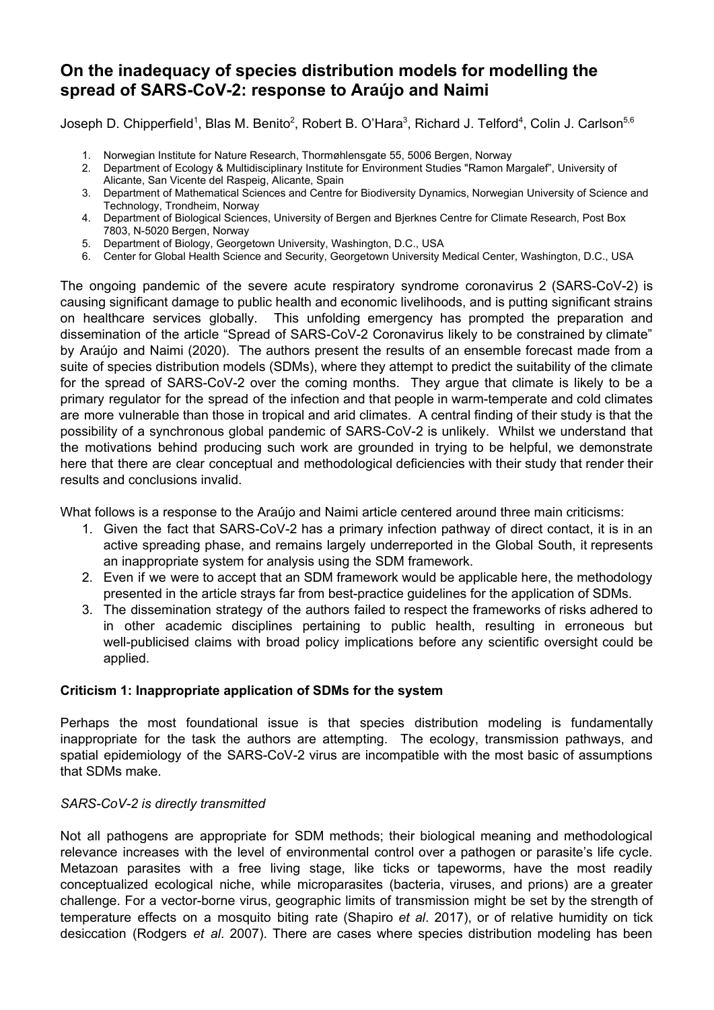# **On the inadequacy of species distribution models for modelling the spread of SARS-CoV-2: response to Araújo and Naimi**

Joseph D. Chipperfield<sup>1</sup>, Blas M. Benito<sup>2</sup>, Robert B. O'Hara<sup>3</sup>, Richard J. Telford<sup>4</sup>, Colin J. Carlson<sup>5,6</sup>

- 1. Norwegian Institute for Nature Research, Thormøhlensgate 55, 5006 Bergen, Norway
- 2. Department of Ecology & Multidisciplinary Institute for Environment Studies "Ramon Margalef", University of Alicante, San Vicente del Raspeig, Alicante, Spain
- 3. Department of Mathematical Sciences and Centre for Biodiversity Dynamics, Norwegian University of Science and Technology, Trondheim, Norway
- 4. Department of Biological Sciences, University of Bergen and Bjerknes Centre for Climate Research, Post Box 7803, N-5020 Bergen, Norway
- 5. Department of Biology, Georgetown University, Washington, D.C., USA
- 6. Center for Global Health Science and Security, Georgetown University Medical Center, Washington, D.C., USA

The ongoing pandemic of the severe acute respiratory syndrome coronavirus 2 (SARS-CoV-2) is causing significant damage to public health and economic livelihoods, and is putting significant strains on healthcare services globally. This unfolding emergency has prompted the preparation and dissemination of the article "Spread of SARS-CoV-2 Coronavirus likely to be constrained by climate" by Araújo and Naimi (2020). The authors present the results of an ensemble forecast made from a suite of species distribution models (SDMs), where they attempt to predict the suitability of the climate for the spread of SARS-CoV-2 over the coming months. They argue that climate is likely to be a primary regulator for the spread of the infection and that people in warm-temperate and cold climates are more vulnerable than those in tropical and arid climates. A central finding of their study is that the possibility of a synchronous global pandemic of SARS-CoV-2 is unlikely. Whilst we understand that the motivations behind producing such work are grounded in trying to be helpful, we demonstrate here that there are clear conceptual and methodological deficiencies with their study that render their results and conclusions invalid.

What follows is a response to the Araújo and Naimi article centered around three main criticisms:

- 1. Given the fact that SARS-CoV-2 has a primary infection pathway of direct contact, it is in an active spreading phase, and remains largely underreported in the Global South, it represents an inappropriate system for analysis using the SDM framework.
- 2. Even if we were to accept that an SDM framework would be applicable here, the methodology presented in the article strays far from best-practice guidelines for the application of SDMs.
- 3. The dissemination strategy of the authors failed to respect the frameworks of risks adhered to in other academic disciplines pertaining to public health, resulting in erroneous but well-publicised claims with broad policy implications before any scientific oversight could be applied.

# **Criticism 1: Inappropriate application of SDMs for the system**

Perhaps the most foundational issue is that species distribution modeling is fundamentally inappropriate for the task the authors are attempting. The ecology, transmission pathways, and spatial epidemiology of the SARS-CoV-2 virus are incompatible with the most basic of assumptions that SDMs make.

## *SARS-CoV-2 is directly transmitted*

Not all pathogens are appropriate for SDM methods; their biological meaning and methodological relevance increases with the level of environmental control over a pathogen or parasite's life cycle. Metazoan parasites with a free living stage, like ticks or tapeworms, have the most readily conceptualized ecological niche, while microparasites (bacteria, viruses, and prions) are a greater challenge. For a vector-borne virus, geographic limits of transmission might be set by the strength of temperature effects on a mosquito biting rate (Shapiro *et al*. 2017), or of relative humidity on tick desiccation (Rodgers *et al*. 2007). There are cases where species distribution modeling has been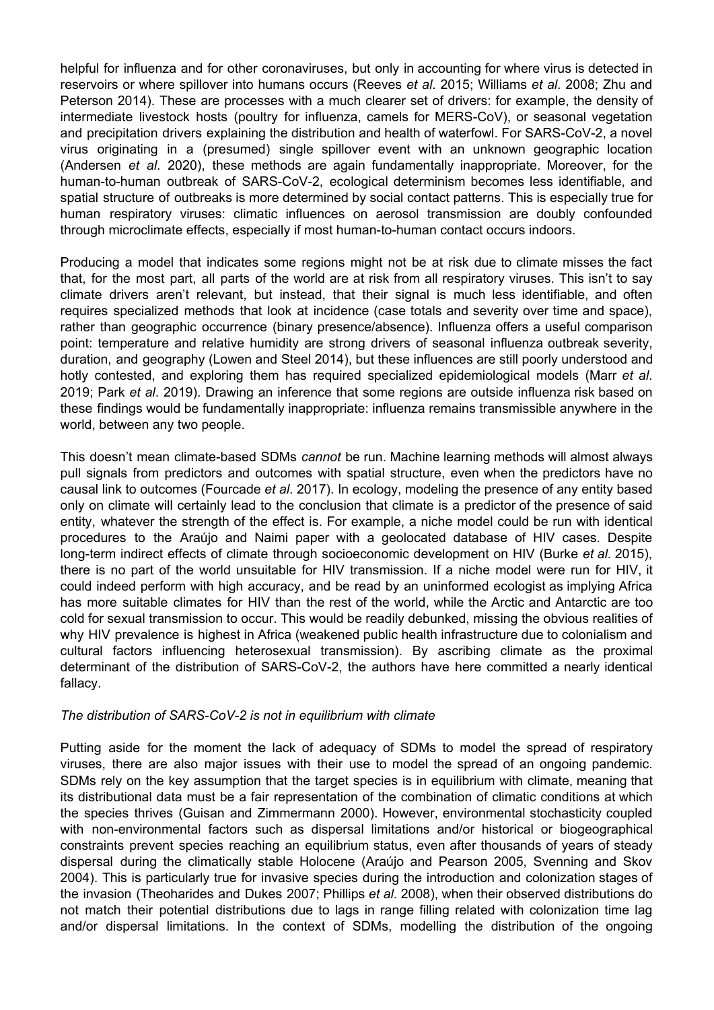helpful for influenza and for other coronaviruses, but only in accounting for where virus is detected in reservoirs or where spillover into humans occurs (Reeves *et al*. 2015; Williams *et al*. 2008; Zhu and Peterson 2014). These are processes with a much clearer set of drivers: for example, the density of intermediate livestock hosts (poultry for influenza, camels for MERS-CoV), or seasonal vegetation and precipitation drivers explaining the distribution and health of waterfowl. For SARS-CoV-2, a novel virus originating in a (presumed) single spillover event with an unknown geographic location (Andersen *et al*. 2020), these methods are again fundamentally inappropriate. Moreover, for the human-to-human outbreak of SARS-CoV-2, ecological determinism becomes less identifiable, and spatial structure of outbreaks is more determined by social contact patterns. This is especially true for human respiratory viruses: climatic influences on aerosol transmission are doubly confounded through microclimate effects, especially if most human-to-human contact occurs indoors.

Producing a model that indicates some regions might not be at risk due to climate misses the fact that, for the most part, all parts of the world are at risk from all respiratory viruses. This isn't to say climate drivers aren't relevant, but instead, that their signal is much less identifiable, and often requires specialized methods that look at incidence (case totals and severity over time and space), rather than geographic occurrence (binary presence/absence). Influenza offers a useful comparison point: temperature and relative humidity are strong drivers of seasonal influenza outbreak severity, duration, and geography (Lowen and Steel 2014), but these influences are still poorly understood and hotly contested, and exploring them has required specialized epidemiological models (Marr *et al*. 2019; Park *et al*. 2019). Drawing an inference that some regions are outside influenza risk based on these findings would be fundamentally inappropriate: influenza remains transmissible anywhere in the world, between any two people.

This doesn't mean climate-based SDMs *cannot* be run. Machine learning methods will almost always pull signals from predictors and outcomes with spatial structure, even when the predictors have no causal link to outcomes (Fourcade *et al*. 2017). In ecology, modeling the presence of any entity based only on climate will certainly lead to the conclusion that climate is a predictor of the presence of said entity, whatever the strength of the effect is. For example, a niche model could be run with identical procedures to the Araújo and Naimi paper with a geolocated database of HIV cases. Despite long-term indirect effects of climate through socioeconomic development on HIV (Burke *et al*. 2015), there is no part of the world unsuitable for HIV transmission. If a niche model were run for HIV, it could indeed perform with high accuracy, and be read by an uninformed ecologist as implying Africa has more suitable climates for HIV than the rest of the world, while the Arctic and Antarctic are too cold for sexual transmission to occur. This would be readily debunked, missing the obvious realities of why HIV prevalence is highest in Africa (weakened public health infrastructure due to colonialism and cultural factors influencing heterosexual transmission). By ascribing climate as the proximal determinant of the distribution of SARS-CoV-2, the authors have here committed a nearly identical fallacy.

## *The distribution of SARS-CoV-2 is not in equilibrium with climate*

Putting aside for the moment the lack of adequacy of SDMs to model the spread of respiratory viruses, there are also major issues with their use to model the spread of an ongoing pandemic. SDMs rely on the key assumption that the target species is in equilibrium with climate, meaning that its distributional data must be a fair representation of the combination of climatic conditions at which the species thrives (Guisan and Zimmermann 2000). However, environmental stochasticity coupled with non-environmental factors such as dispersal limitations and/or historical or biogeographical constraints prevent species reaching an equilibrium status, even after thousands of years of steady dispersal during the climatically stable Holocene (Araújo and Pearson 2005, Svenning and Skov 2004). This is particularly true for invasive species during the introduction and colonization stages of the invasion (Theoharides and Dukes 2007; Phillips *et al*. 2008), when their observed distributions do not match their potential distributions due to lags in range filling related with colonization time lag and/or dispersal limitations. In the context of SDMs, modelling the distribution of the ongoing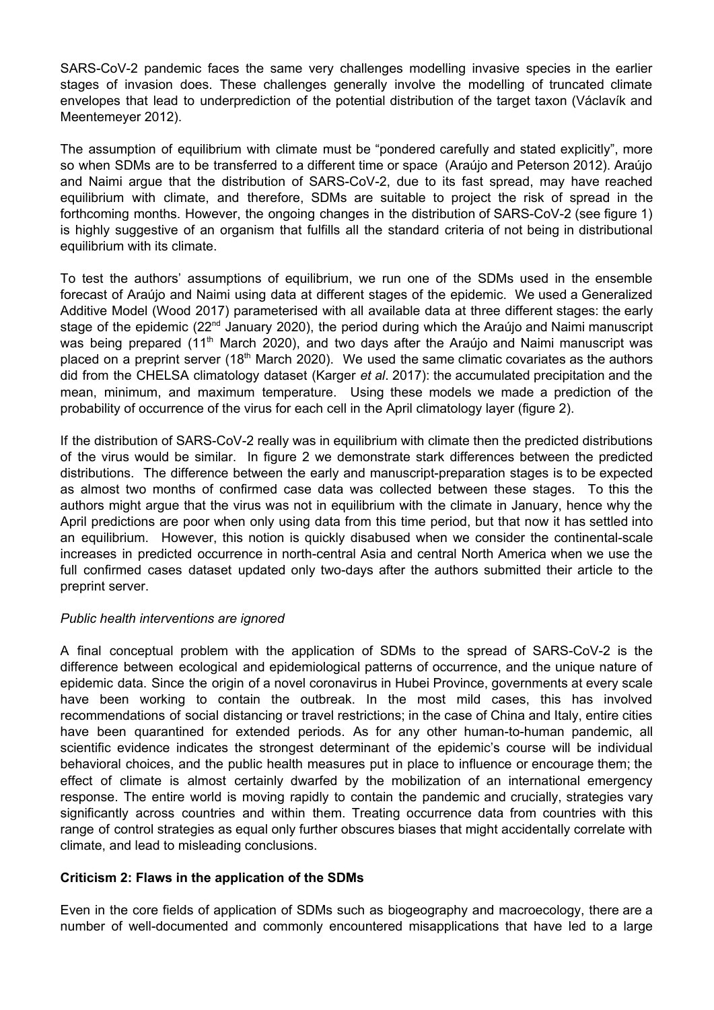SARS-CoV-2 pandemic faces the same very challenges modelling invasive species in the earlier stages of invasion does. These challenges generally involve the modelling of truncated climate envelopes that lead to underprediction of the potential distribution of the target taxon (Václavík and Meentemeyer 2012).

The assumption of equilibrium with climate must be "pondered carefully and stated explicitly", more so when SDMs are to be transferred to a different time or space (Araújo and Peterson 2012). Araújo and Naimi argue that the distribution of SARS-CoV-2, due to its fast spread, may have reached equilibrium with climate, and therefore, SDMs are suitable to project the risk of spread in the forthcoming months. However, the ongoing changes in the distribution of SARS-CoV-2 (see figure 1) is highly suggestive of an organism that fulfills all the standard criteria of not being in distributional equilibrium with its climate.

To test the authors' assumptions of equilibrium, we run one of the SDMs used in the ensemble forecast of Araújo and Naimi using data at different stages of the epidemic. We used a Generalized Additive Model (Wood 2017) parameterised with all available data at three different stages: the early stage of the epidemic (22<sup>nd</sup> January 2020), the period during which the Araújo and Naimi manuscript was being prepared (11<sup>th</sup> March 2020), and two days after the Araújo and Naimi manuscript was placed on a preprint server (18<sup>th</sup> March 2020). We used the same climatic covariates as the authors did from the CHELSA climatology dataset (Karger *et al*. 2017): the accumulated precipitation and the mean, minimum, and maximum temperature. Using these models we made a prediction of the probability of occurrence of the virus for each cell in the April climatology layer (figure 2).

If the distribution of SARS-CoV-2 really was in equilibrium with climate then the predicted distributions of the virus would be similar. In figure 2 we demonstrate stark differences between the predicted distributions. The difference between the early and manuscript-preparation stages is to be expected as almost two months of confirmed case data was collected between these stages. To this the authors might argue that the virus was not in equilibrium with the climate in January, hence why the April predictions are poor when only using data from this time period, but that now it has settled into an equilibrium. However, this notion is quickly disabused when we consider the continental-scale increases in predicted occurrence in north-central Asia and central North America when we use the full confirmed cases dataset updated only two-days after the authors submitted their article to the preprint server.

## *Public health interventions are ignored*

A final conceptual problem with the application of SDMs to the spread of SARS-CoV-2 is the difference between ecological and epidemiological patterns of occurrence, and the unique nature of epidemic data. Since the origin of a novel coronavirus in Hubei Province, governments at every scale have been working to contain the outbreak. In the most mild cases, this has involved recommendations of social distancing or travel restrictions; in the case of China and Italy, entire cities have been quarantined for extended periods. As for any other human-to-human pandemic, all scientific evidence indicates the strongest determinant of the epidemic's course will be individual behavioral choices, and the public health measures put in place to influence or encourage them; the effect of climate is almost certainly dwarfed by the mobilization of an international emergency response. The entire world is moving rapidly to contain the pandemic and crucially, strategies vary significantly across countries and within them. Treating occurrence data from countries with this range of control strategies as equal only further obscures biases that might accidentally correlate with climate, and lead to misleading conclusions.

# **Criticism 2: Flaws in the application of the SDMs**

Even in the core fields of application of SDMs such as biogeography and macroecology, there are a number of well-documented and commonly encountered misapplications that have led to a large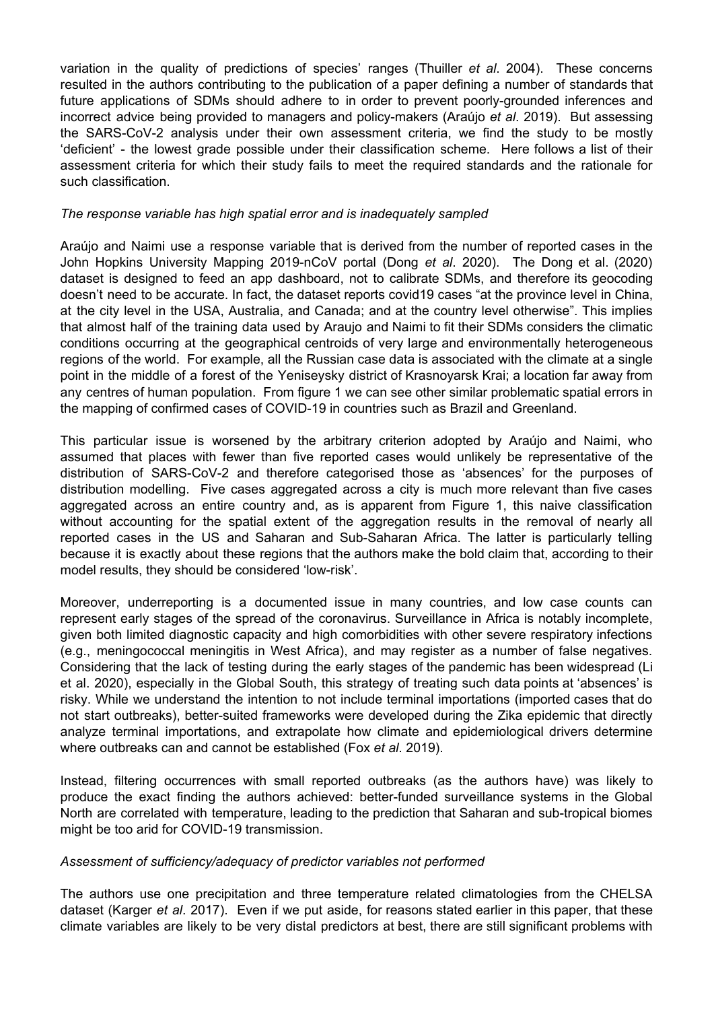variation in the quality of predictions of species' ranges (Thuiller *et al*. 2004). These concerns resulted in the authors contributing to the publication of a paper defining a number of standards that future applications of SDMs should adhere to in order to prevent poorly-grounded inferences and incorrect advice being provided to managers and policy-makers (Araújo *et al*. 2019). But assessing the SARS-CoV-2 analysis under their own assessment criteria, we find the study to be mostly 'deficient' - the lowest grade possible under their classification scheme. Here follows a list of their assessment criteria for which their study fails to meet the required standards and the rationale for such classification.

## *The response variable has high spatial error and is inadequately sampled*

Araújo and Naimi use a response variable that is derived from the number of reported cases in the John Hopkins University Mapping 2019-nCoV portal (Dong *et al*. 2020). The Dong et al. (2020) dataset is designed to feed an app dashboard, not to calibrate SDMs, and therefore its geocoding doesn't need to be accurate. In fact, the dataset reports covid19 cases "at the province level in China, at the city level in the USA, Australia, and Canada; and at the country level otherwise". This implies that almost half of the training data used by Araujo and Naimi to fit their SDMs considers the climatic conditions occurring at the geographical centroids of very large and environmentally heterogeneous regions of the world. For example, all the Russian case data is associated with the climate at a single point in the middle of a forest of the Yeniseysky district of Krasnoyarsk Krai; a location far away from any centres of human population. From figure 1 we can see other similar problematic spatial errors in the mapping of confirmed cases of COVID-19 in countries such as Brazil and Greenland.

This particular issue is worsened by the arbitrary criterion adopted by Araújo and Naimi, who assumed that places with fewer than five reported cases would unlikely be representative of the distribution of SARS-CoV-2 and therefore categorised those as 'absences' for the purposes of distribution modelling. Five cases aggregated across a city is much more relevant than five cases aggregated across an entire country and, as is apparent from Figure 1, this naive classification without accounting for the spatial extent of the aggregation results in the removal of nearly all reported cases in the US and Saharan and Sub-Saharan Africa. The latter is particularly telling because it is exactly about these regions that the authors make the bold claim that, according to their model results, they should be considered 'low-risk'.

Moreover, underreporting is a documented issue in many countries, and low case counts can represent early stages of the spread of the coronavirus. Surveillance in Africa is notably incomplete, given both limited diagnostic capacity and high comorbidities with other severe respiratory infections (e.g., meningococcal meningitis in West Africa), and may register as a number of false negatives. Considering that the lack of testing during the early stages of the pandemic has been widespread (Li et al. 2020), especially in the Global South, this strategy of treating such data points at 'absences' is risky. While we understand the intention to not include terminal importations (imported cases that do not start outbreaks), better-suited frameworks were developed during the Zika epidemic that directly analyze terminal importations, and extrapolate how climate and epidemiological drivers determine where outbreaks can and cannot be established (Fox *et al*. 2019).

Instead, filtering occurrences with small reported outbreaks (as the authors have) was likely to produce the exact finding the authors achieved: better-funded surveillance systems in the Global North are correlated with temperature, leading to the prediction that Saharan and sub-tropical biomes might be too arid for COVID-19 transmission.

#### *Assessment of sufficiency/adequacy of predictor variables not performed*

The authors use one precipitation and three temperature related climatologies from the CHELSA dataset (Karger *et al*. 2017). Even if we put aside, for reasons stated earlier in this paper, that these climate variables are likely to be very distal predictors at best, there are still significant problems with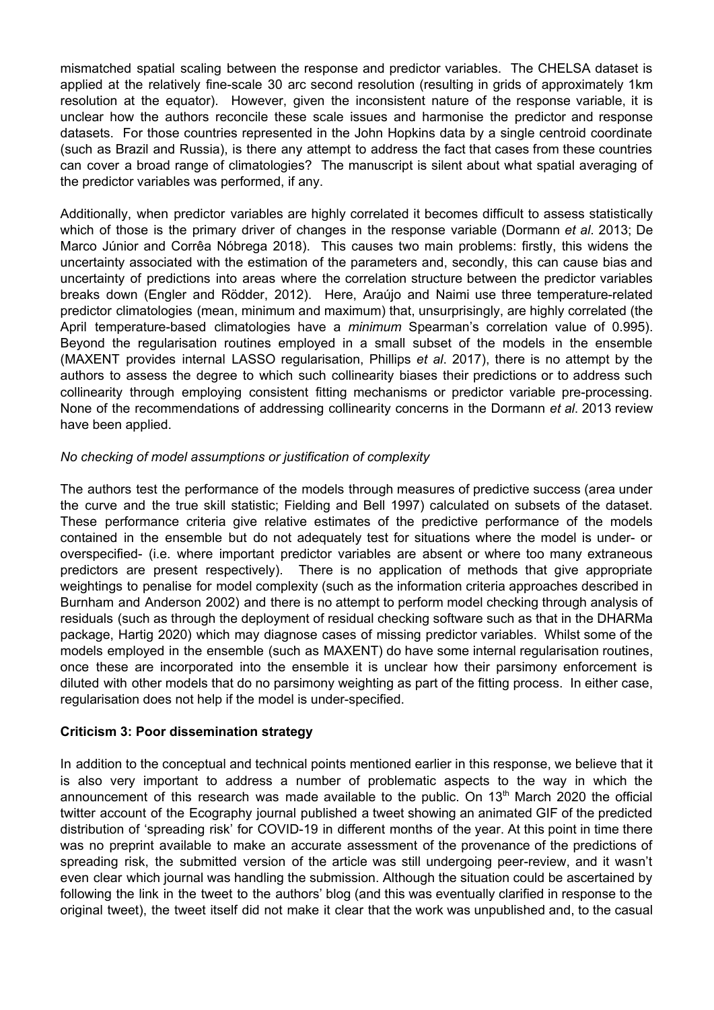mismatched spatial scaling between the response and predictor variables. The CHELSA dataset is applied at the relatively fine-scale 30 arc second resolution (resulting in grids of approximately 1km resolution at the equator). However, given the inconsistent nature of the response variable, it is unclear how the authors reconcile these scale issues and harmonise the predictor and response datasets. For those countries represented in the John Hopkins data by a single centroid coordinate (such as Brazil and Russia), is there any attempt to address the fact that cases from these countries can cover a broad range of climatologies? The manuscript is silent about what spatial averaging of the predictor variables was performed, if any.

Additionally, when predictor variables are highly correlated it becomes difficult to assess statistically which of those is the primary driver of changes in the response variable (Dormann *et al*. 2013; De Marco Júnior and Corrêa Nóbrega 2018). This causes two main problems: firstly, this widens the uncertainty associated with the estimation of the parameters and, secondly, this can cause bias and uncertainty of predictions into areas where the correlation structure between the predictor variables breaks down (Engler and Rödder, 2012). Here, Araújo and Naimi use three temperature-related predictor climatologies (mean, minimum and maximum) that, unsurprisingly, are highly correlated (the April temperature-based climatologies have a *minimum* Spearman's correlation value of 0.995). Beyond the regularisation routines employed in a small subset of the models in the ensemble (MAXENT provides internal LASSO regularisation, Phillips *et al*. 2017), there is no attempt by the authors to assess the degree to which such collinearity biases their predictions or to address such collinearity through employing consistent fitting mechanisms or predictor variable pre-processing. None of the recommendations of addressing collinearity concerns in the Dormann *et al*. 2013 review have been applied.

## *No checking of model assumptions or justification of complexity*

The authors test the performance of the models through measures of predictive success (area under the curve and the true skill statistic; Fielding and Bell 1997) calculated on subsets of the dataset. These performance criteria give relative estimates of the predictive performance of the models contained in the ensemble but do not adequately test for situations where the model is under- or overspecified- (i.e. where important predictor variables are absent or where too many extraneous predictors are present respectively). There is no application of methods that give appropriate weightings to penalise for model complexity (such as the information criteria approaches described in Burnham and Anderson 2002) and there is no attempt to perform model checking through analysis of residuals (such as through the deployment of residual checking software such as that in the DHARMa package, Hartig 2020) which may diagnose cases of missing predictor variables. Whilst some of the models employed in the ensemble (such as MAXENT) do have some internal regularisation routines, once these are incorporated into the ensemble it is unclear how their parsimony enforcement is diluted with other models that do no parsimony weighting as part of the fitting process. In either case, regularisation does not help if the model is under-specified.

## **Criticism 3: Poor dissemination strategy**

In addition to the conceptual and technical points mentioned earlier in this response, we believe that it is also very important to address a number of problematic aspects to the way in which the announcement of this research was made available to the public. On  $13<sup>th</sup>$  March 2020 the official twitter account of the Ecography journal published a tweet showing an animated GIF of the predicted distribution of 'spreading risk' for COVID-19 in different months of the year. At this point in time there was no preprint available to make an accurate assessment of the provenance of the predictions of spreading risk, the submitted version of the article was still undergoing peer-review, and it wasn't even clear which journal was handling the submission. Although the situation could be ascertained by following the link in the tweet to the authors' blog (and this was eventually clarified in response to the original tweet), the tweet itself did not make it clear that the work was unpublished and, to the casual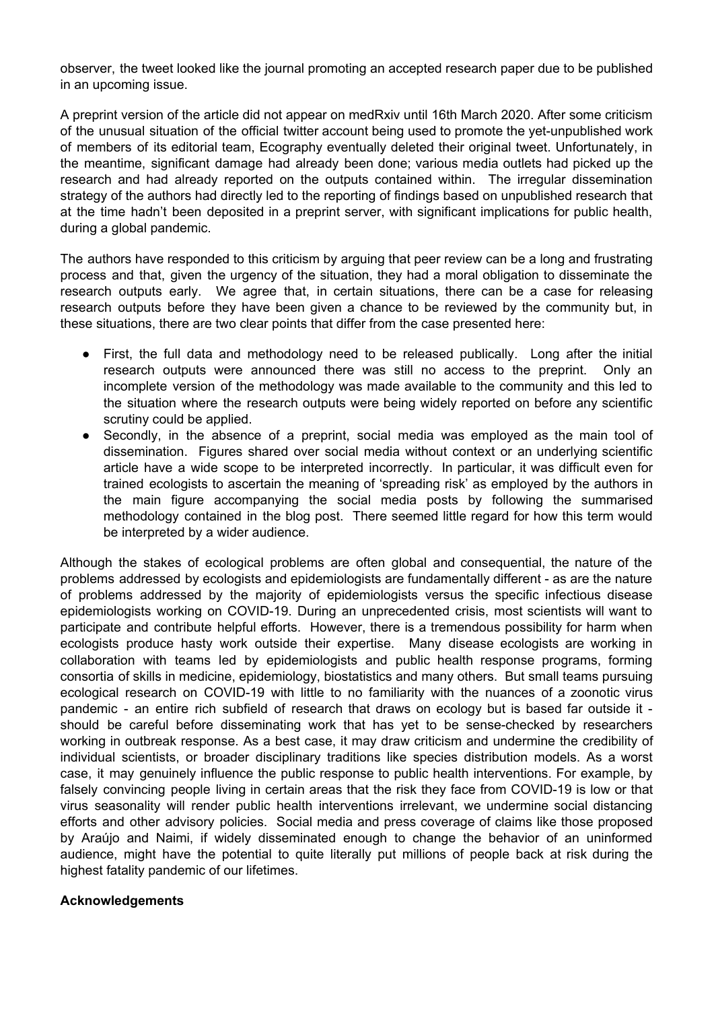observer, the tweet looked like the journal promoting an accepted research paper due to be published in an upcoming issue.

A preprint version of the article did not appear on medRxiv until 16th March 2020. After some criticism of the unusual situation of the official twitter account being used to promote the yet-unpublished work of members of its editorial team, Ecography eventually deleted their original tweet. Unfortunately, in the meantime, significant damage had already been done; various media outlets had picked up the research and had already reported on the outputs contained within. The irregular dissemination strategy of the authors had directly led to the reporting of findings based on unpublished research that at the time hadn't been deposited in a preprint server, with significant implications for public health, during a global pandemic.

The authors have responded to this criticism by arguing that peer review can be a long and frustrating process and that, given the urgency of the situation, they had a moral obligation to disseminate the research outputs early. We agree that, in certain situations, there can be a case for releasing research outputs before they have been given a chance to be reviewed by the community but, in these situations, there are two clear points that differ from the case presented here:

- First, the full data and methodology need to be released publically. Long after the initial research outputs were announced there was still no access to the preprint. Only an incomplete version of the methodology was made available to the community and this led to the situation where the research outputs were being widely reported on before any scientific scrutiny could be applied.
- Secondly, in the absence of a preprint, social media was employed as the main tool of dissemination. Figures shared over social media without context or an underlying scientific article have a wide scope to be interpreted incorrectly. In particular, it was difficult even for trained ecologists to ascertain the meaning of 'spreading risk' as employed by the authors in the main figure accompanying the social media posts by following the summarised methodology contained in the blog post. There seemed little regard for how this term would be interpreted by a wider audience.

Although the stakes of ecological problems are often global and consequential, the nature of the problems addressed by ecologists and epidemiologists are fundamentally different - as are the nature of problems addressed by the majority of epidemiologists versus the specific infectious disease epidemiologists working on COVID-19. During an unprecedented crisis, most scientists will want to participate and contribute helpful efforts. However, there is a tremendous possibility for harm when ecologists produce hasty work outside their expertise. Many disease ecologists are working in collaboration with teams led by epidemiologists and public health response programs, forming consortia of skills in medicine, epidemiology, biostatistics and many others. But small teams pursuing ecological research on COVID-19 with little to no familiarity with the nuances of a zoonotic virus pandemic - an entire rich subfield of research that draws on ecology but is based far outside it should be careful before disseminating work that has yet to be sense-checked by researchers working in outbreak response. As a best case, it may draw criticism and undermine the credibility of individual scientists, or broader disciplinary traditions like species distribution models. As a worst case, it may genuinely influence the public response to public health interventions. For example, by falsely convincing people living in certain areas that the risk they face from COVID-19 is low or that virus seasonality will render public health interventions irrelevant, we undermine social distancing efforts and other advisory policies. Social media and press coverage of claims like those proposed by Araújo and Naimi, if widely disseminated enough to change the behavior of an uninformed audience, might have the potential to quite literally put millions of people back at risk during the highest fatality pandemic of our lifetimes.

## **Acknowledgements**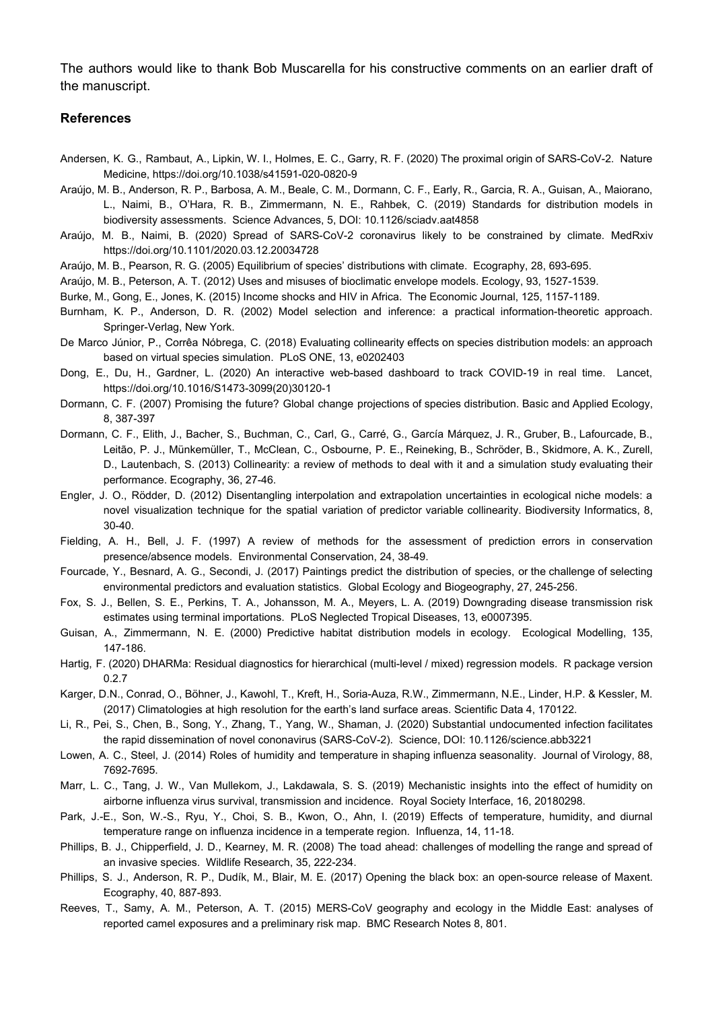The authors would like to thank Bob Muscarella for his constructive comments on an earlier draft of the manuscript.

#### **References**

- Andersen, K. G., Rambaut, A., Lipkin, W. I., Holmes, E. C., Garry, R. F. (2020) The proximal origin of SARS-CoV-2. Nature Medicine, https://doi.org/10.1038/s41591-020-0820-9
- Araújo, M. B., Anderson, R. P., Barbosa, A. M., Beale, C. M., Dormann, C. F., Early, R., Garcia, R. A., Guisan, A., Maiorano, L., Naimi, B., O'Hara, R. B., Zimmermann, N. E., Rahbek, C. (2019) Standards for distribution models in biodiversity assessments. Science Advances, 5, DOI: 10.1126/sciadv.aat4858
- Araújo, M. B., Naimi, B. (2020) Spread of SARS-CoV-2 coronavirus likely to be constrained by climate. MedRxiv https://doi.org/10.1101/2020.03.12.20034728
- Araújo, M. B., Pearson, R. G. (2005) Equilibrium of species' distributions with climate. Ecography, 28, 693-695.
- Araújo, M. B., Peterson, A. T. (2012) Uses and misuses of bioclimatic envelope models. Ecology, 93, 1527-1539.
- Burke, M., Gong, E., Jones, K. (2015) Income shocks and HIV in Africa. The Economic Journal, 125, 1157-1189.
- Burnham, K. P., Anderson, D. R. (2002) Model selection and inference: a practical information-theoretic approach. Springer-Verlag, New York.
- De Marco Júnior, P., Corrêa Nóbrega, C. (2018) Evaluating collinearity effects on species distribution models: an approach based on virtual species simulation. PLoS ONE, 13, e0202403
- Dong, E., Du, H., Gardner, L. (2020) An interactive web-based dashboard to track COVID-19 in real time. Lancet, https://doi.org/10.1016/S1473-3099(20)30120-1
- Dormann, C. F. (2007) Promising the future? Global change projections of species distribution. Basic and Applied Ecology, 8, 387-397
- Dormann, C. F., Elith, J., Bacher, S., Buchman, C., Carl, G., Carré, G., García Márquez, J. R., Gruber, B., Lafourcade, B., Leitão, P. J., Münkemüller, T., McClean, C., Osbourne, P. E., Reineking, B., Schröder, B., Skidmore, A. K., Zurell, D., Lautenbach, S. (2013) Collinearity: a review of methods to deal with it and a simulation study evaluating their performance. Ecography, 36, 27-46.
- Engler, J. O., Rödder, D. (2012) Disentangling interpolation and extrapolation uncertainties in ecological niche models: a novel visualization technique for the spatial variation of predictor variable collinearity. Biodiversity Informatics, 8, 30-40.
- Fielding, A. H., Bell, J. F. (1997) A review of methods for the assessment of prediction errors in conservation presence/absence models. Environmental Conservation, 24, 38-49.
- Fourcade, Y., Besnard, A. G., Secondi, J. (2017) Paintings predict the distribution of species, or the challenge of selecting environmental predictors and evaluation statistics. Global Ecology and Biogeography, 27, 245-256.
- Fox, S. J., Bellen, S. E., Perkins, T. A., Johansson, M. A., Meyers, L. A. (2019) Downgrading disease transmission risk estimates using terminal importations. PLoS Neglected Tropical Diseases, 13, e0007395.
- Guisan, A., Zimmermann, N. E. (2000) Predictive habitat distribution models in ecology. Ecological Modelling, 135, 147-186.
- Hartig, F. (2020) DHARMa: Residual diagnostics for hierarchical (multi-level / mixed) regression models. R package version 0.2.7
- Karger, D.N., Conrad, O., Böhner, J., Kawohl, T., Kreft, H., Soria-Auza, R.W., Zimmermann, N.E., Linder, H.P. & Kessler, M. (2017) Climatologies at high resolution for the earth's land surface areas. Scientific Data 4, 170122.
- Li, R., Pei, S., Chen, B., Song, Y., Zhang, T., Yang, W., Shaman, J. (2020) Substantial undocumented infection facilitates the rapid dissemination of novel cononavirus (SARS-CoV-2). Science, DOI: 10.1126/science.abb3221
- Lowen, A. C., Steel, J. (2014) Roles of humidity and temperature in shaping influenza seasonality. Journal of Virology, 88, 7692-7695.
- Marr, L. C., Tang, J. W., Van Mullekom, J., Lakdawala, S. S. (2019) Mechanistic insights into the effect of humidity on airborne influenza virus survival, transmission and incidence. Royal Society Interface, 16, 20180298.
- Park, J.-E., Son, W.-S., Ryu, Y., Choi, S. B., Kwon, O., Ahn, I. (2019) Effects of temperature, humidity, and diurnal temperature range on influenza incidence in a temperate region. Influenza, 14, 11-18.
- Phillips, B. J., Chipperfield, J. D., Kearney, M. R. (2008) The toad ahead: challenges of modelling the range and spread of an invasive species. Wildlife Research, 35, 222-234.
- Phillips, S. J., Anderson, R. P., Dudík, M., Blair, M. E. (2017) Opening the black box: an open-source release of Maxent. Ecography, 40, 887-893.
- Reeves, T., Samy, A. M., Peterson, A. T. (2015) MERS-CoV geography and ecology in the Middle East: analyses of reported camel exposures and a preliminary risk map. BMC Research Notes 8, 801.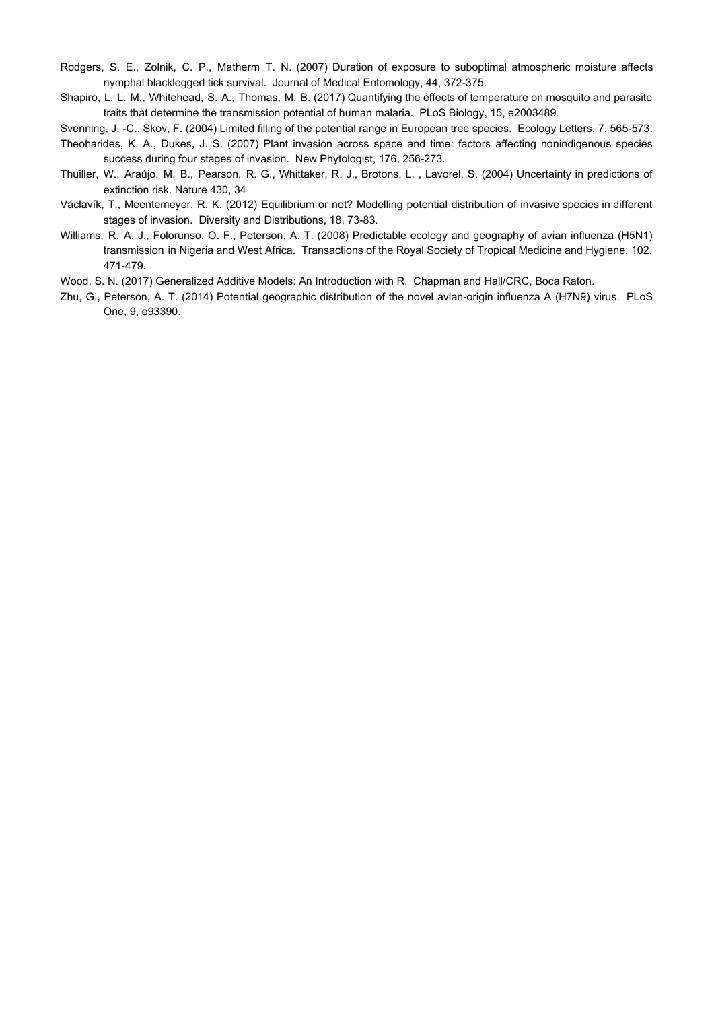- Rodgers, S. E., Zolnik, C. P., Matherm T. N. (2007) Duration of exposure to suboptimal atmospheric moisture affects nymphal blacklegged tick survival. Journal of Medical Entomology, 44, 372-375.
- Shapiro, L. L. M., Whitehead, S. A., Thomas, M. B. (2017) Quantifying the effects of temperature on mosquito and parasite traits that determine the transmission potential of human malaria. PLoS Biology, 15, e2003489.

Svenning, J. -C., Skov, F. (2004) Limited filling of the potential range in European tree species. Ecology Letters, 7, 565-573.

- Theoharides, K. A., Dukes, J. S. (2007) Plant invasion across space and time: factors affecting nonindigenous species success during four stages of invasion. New Phytologist, 176, 256-273.
- Thuiller, W., Araújo, M. B., Pearson, R. G., Whittaker, R. J., Brotons, L. , Lavorel, S. (2004) Uncertainty in predictions of extinction risk. Nature 430, 34
- Václavík, T., Meentemeyer, R. K. (2012) Equilibrium or not? Modelling potential distribution of invasive species in different stages of invasion. Diversity and Distributions, 18, 73-83.
- Williams, R. A. J., Folorunso, O. F., Peterson, A. T. (2008) Predictable ecology and geography of avian influenza (H5N1) transmission in Nigeria and West Africa. Transactions of the Royal Society of Tropical Medicine and Hygiene, 102, 471-479.
- Wood, S. N. (2017) Generalized Additive Models: An Introduction with R. Chapman and Hall/CRC, Boca Raton.
- Zhu, G., Peterson, A. T. (2014) Potential geographic distribution of the novel avian-origin influenza A (H7N9) virus. PLoS One, 9, e93390.